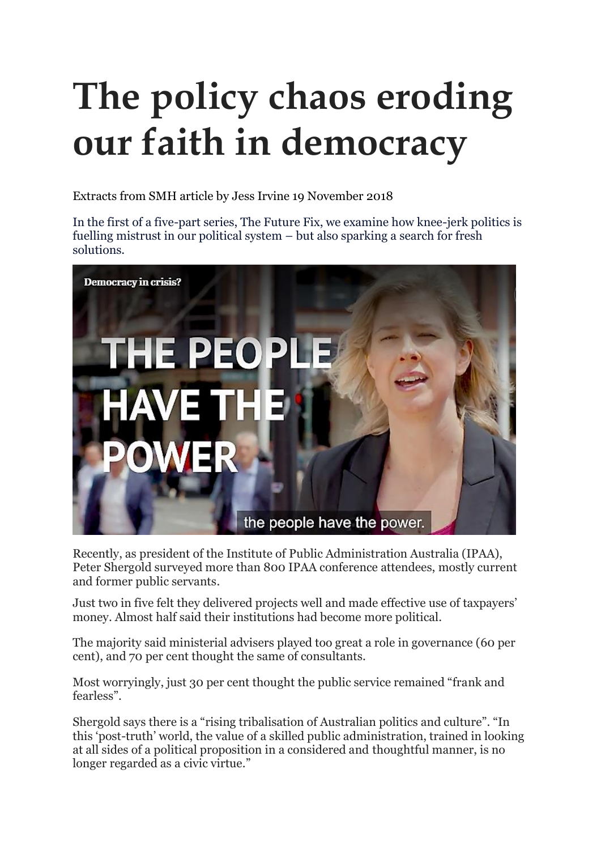# **The policy chaos eroding our faith in democracy**

Extracts from SMH article by Jess Irvine 19 November 2018

In the first of a five-part series, The Future Fix, we examine how knee-jerk politics is fuelling mistrust in our political system – but also sparking a search for fresh solutions.



Recently, as president of the Institute of Public Administration Australia (IPAA), Peter Shergold surveyed more than 800 IPAA conference attendees, mostly current and former public servants.

Just two in five felt they delivered projects well and made effective use of taxpayers' money. Almost half said their institutions had become more political.

The majority said ministerial advisers played too great a role in governance (60 per cent), and 70 per cent thought the same of consultants.

Most worryingly, just 30 per cent thought the public service remained "frank and fearless".

Shergold says there is a "rising tribalisation of Australian politics and culture". "In this 'post-truth' world, the value of a skilled public administration, trained in looking at all sides of a political proposition in a considered and thoughtful manner, is no longer regarded as a civic virtue."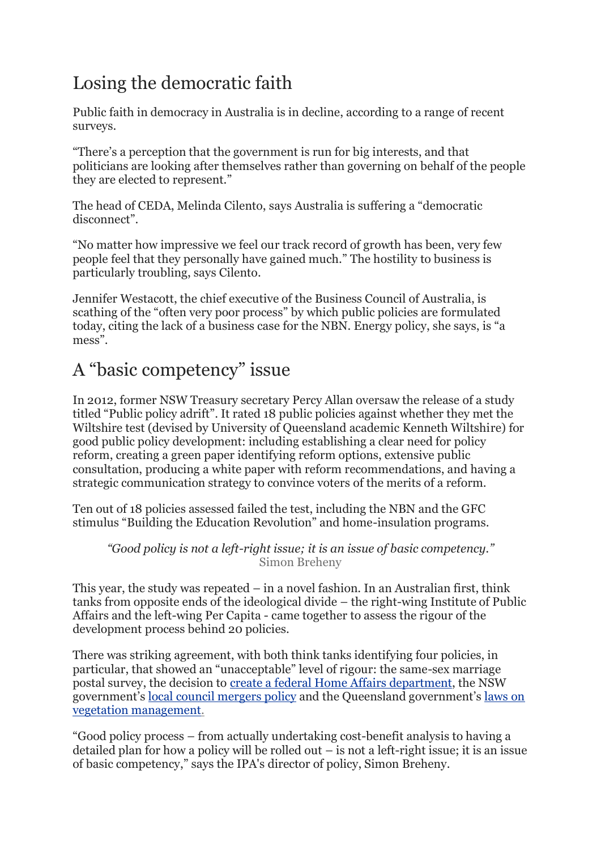## Losing the democratic faith

Public faith in democracy in Australia is in decline, according to a range of recent surveys.

"There's a perception that the government is run for big interests, and that politicians are looking after themselves rather than governing on behalf of the people they are elected to represent."

The head of CEDA, Melinda Cilento, says Australia is suffering a "democratic disconnect".

"No matter how impressive we feel our track record of growth has been, very few people feel that they personally have gained much." The hostility to business is particularly troubling, says Cilento.

Jennifer Westacott, the chief executive of the Business Council of Australia, is scathing of the "often very poor process" by which public policies are formulated today, citing the lack of a business case for the NBN. Energy policy, she says, is "a mess".

## A "basic competency" issue

In 2012, former NSW Treasury secretary Percy Allan oversaw the release of a study titled "Public policy adrift". It rated 18 public policies against whether they met the Wiltshire test (devised by University of Queensland academic Kenneth Wiltshire) for good public policy development: including establishing a clear need for policy reform, creating a green paper identifying reform options, extensive public consultation, producing a white paper with reform recommendations, and having a strategic communication strategy to convince voters of the merits of a reform.

Ten out of 18 policies assessed failed the test, including the NBN and the GFC stimulus "Building the Education Revolution" and home-insulation programs.

*"Good policy is not a left-right issue; it is an issue of basic competency."*  Simon Breheny

This year, the study was repeated – in a novel fashion. In an Australian first, think tanks from opposite ends of the ideological divide – the right-wing Institute of Public Affairs and the left-wing Per Capita - came together to assess the rigour of the development process behind 20 policies.

There was striking agreement, with both think tanks identifying four policies, in particular, that showed an "unacceptable" level of rigour: the same-sex marriage postal survey, the decision to create a federal Home Affairs [department,](https://www.smh.com.au/link/follow-20170101-gxdbou) the NSW government's local council [mergers](https://www.smh.com.au/link/follow-20170101-gwiywr) policy and the Queensland government's [laws](https://www.smh.com.au/link/follow-20170101-p4zda6) on vegetation [management.](https://www.smh.com.au/link/follow-20170101-p4zda6)

"Good policy process – from actually undertaking cost-benefit analysis to having a detailed plan for how a policy will be rolled out – is not a left-right issue; it is an issue of basic competency," says the IPA's director of policy, Simon Breheny.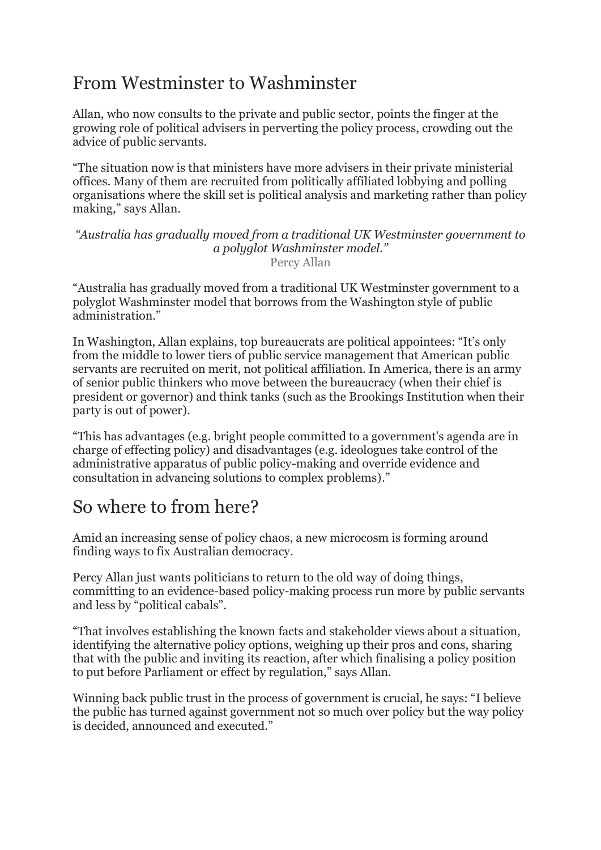#### From Westminster to Washminster

Allan, who now consults to the private and public sector, points the finger at the growing role of political advisers in perverting the policy process, crowding out the advice of public servants.

"The situation now is that ministers have more advisers in their private ministerial offices. Many of them are recruited from politically affiliated lobbying and polling organisations where the skill set is political analysis and marketing rather than policy making," says Allan.

*"Australia has gradually moved from a traditional UK Westminster government to a polyglot Washminster model."*  Percy Allan

"Australia has gradually moved from a traditional UK Westminster government to a polyglot Washminster model that borrows from the Washington style of public administration."

In Washington, Allan explains, top bureaucrats are political appointees: "It's only from the middle to lower tiers of public service management that American public servants are recruited on merit, not political affiliation. In America, there is an army of senior public thinkers who move between the bureaucracy (when their chief is president or governor) and think tanks (such as the Brookings Institution when their party is out of power).

"This has advantages (e.g. bright people committed to a government's agenda are in charge of effecting policy) and disadvantages (e.g. ideologues take control of the administrative apparatus of public policy-making and override evidence and consultation in advancing solutions to complex problems)."

#### So where to from here?

Amid an increasing sense of policy chaos, a new microcosm is forming around finding ways to fix Australian democracy.

Percy Allan just wants politicians to return to the old way of doing things, committing to an evidence-based policy-making process run more by public servants and less by "political cabals".

"That involves establishing the known facts and stakeholder views about a situation, identifying the alternative policy options, weighing up their pros and cons, sharing that with the public and inviting its reaction, after which finalising a policy position to put before Parliament or effect by regulation," says Allan.

Winning back public trust in the process of government is crucial, he says: "I believe the public has turned against government not so much over policy but the way policy is decided, announced and executed."